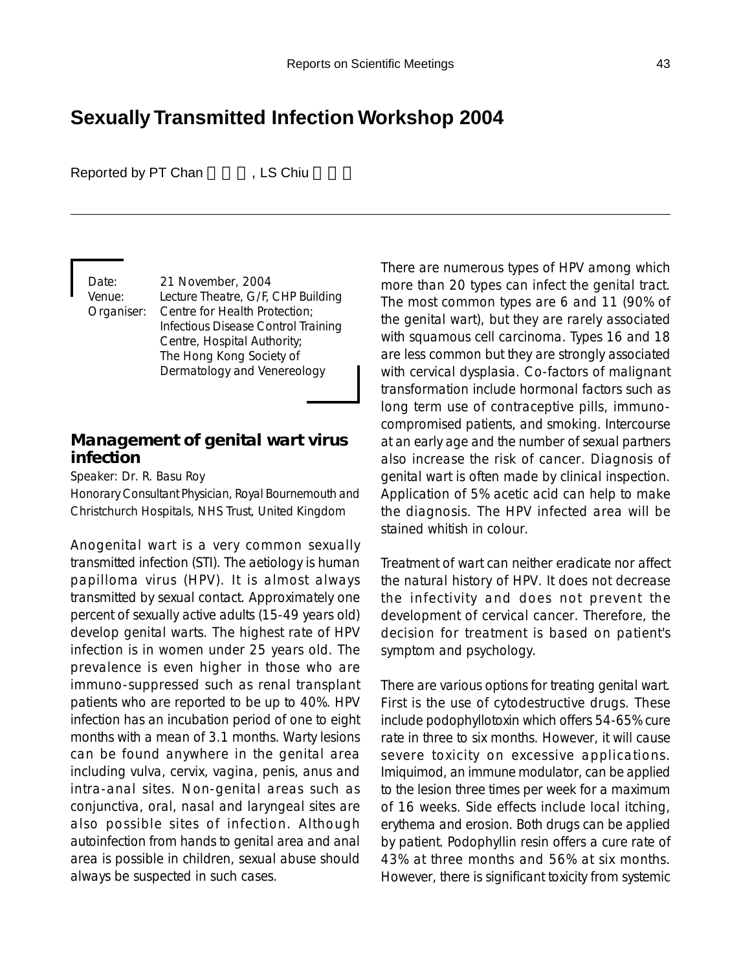# **Sexually Transmitted Infection Workshop 2004**

Reported by PT Chan , LS Chiu

Date: 21 November, 2004 Venue: Lecture Theatre, G/F, CHP Building Organiser: Centre for Health Protection; Infectious Disease Control Training Centre, Hospital Authority; The Hong Kong Society of Dermatology and Venereology

### **Management of genital wart virus infection**

Speaker: Dr. R. Basu Roy

Honorary Consultant Physician, Royal Bournemouth and Christchurch Hospitals, NHS Trust, United Kingdom

Anogenital wart is a very common sexually transmitted infection (STI). The aetiology is human papilloma virus (HPV). It is almost always transmitted by sexual contact. Approximately one percent of sexually active adults (15-49 years old) develop genital warts. The highest rate of HPV infection is in women under 25 years old. The prevalence is even higher in those who are immuno-suppressed such as renal transplant patients who are reported to be up to 40%. HPV infection has an incubation period of one to eight months with a mean of 3.1 months. Warty lesions can be found anywhere in the genital area including vulva, cervix, vagina, penis, anus and intra-anal sites. Non-genital areas such as conjunctiva, oral, nasal and laryngeal sites are also possible sites of infection. Although autoinfection from hands to genital area and anal area is possible in children, sexual abuse should always be suspected in such cases.

There are numerous types of HPV among which more than 20 types can infect the genital tract. The most common types are 6 and 11 (90% of the genital wart), but they are rarely associated with squamous cell carcinoma. Types 16 and 18 are less common but they are strongly associated with cervical dysplasia. Co-factors of malignant transformation include hormonal factors such as long term use of contraceptive pills, immunocompromised patients, and smoking. Intercourse at an early age and the number of sexual partners also increase the risk of cancer. Diagnosis of genital wart is often made by clinical inspection. Application of 5% acetic acid can help to make the diagnosis. The HPV infected area will be stained whitish in colour.

Treatment of wart can neither eradicate nor affect the natural history of HPV. It does not decrease the infectivity and does not prevent the development of cervical cancer. Therefore, the decision for treatment is based on patient's symptom and psychology.

There are various options for treating genital wart. First is the use of cytodestructive drugs. These include podophyllotoxin which offers 54-65% cure rate in three to six months. However, it will cause severe toxicity on excessive applications. Imiquimod, an immune modulator, can be applied to the lesion three times per week for a maximum of 16 weeks. Side effects include local itching, erythema and erosion. Both drugs can be applied by patient. Podophyllin resin offers a cure rate of 43% at three months and 56% at six months. However, there is significant toxicity from systemic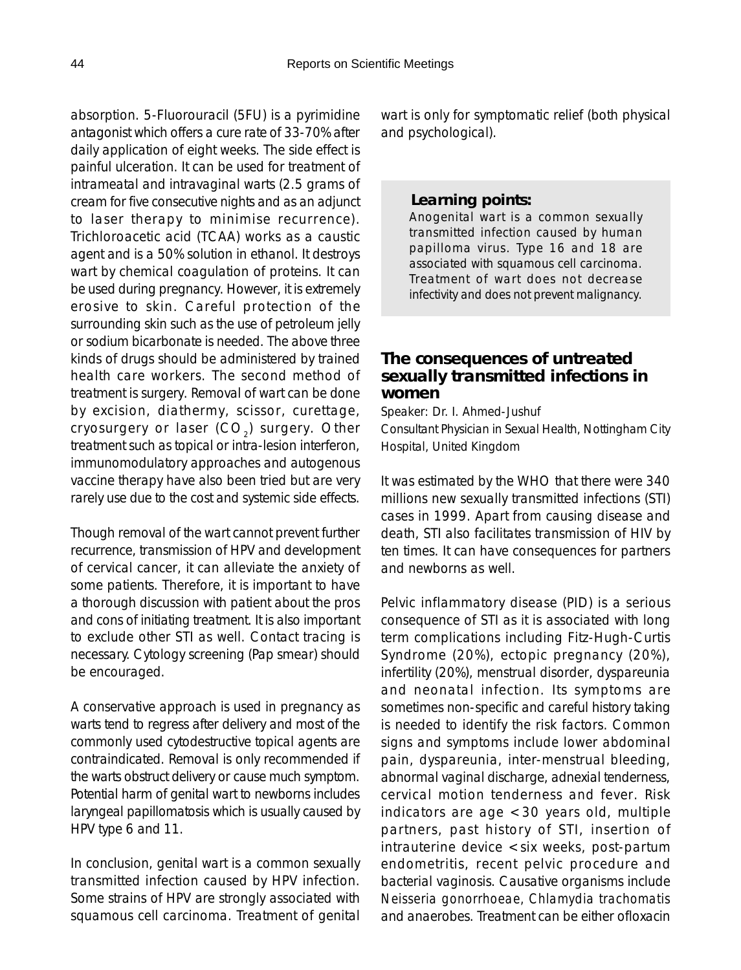absorption. 5-Fluorouracil (5FU) is a pyrimidine antagonist which offers a cure rate of 33-70% after daily application of eight weeks. The side effect is painful ulceration. It can be used for treatment of intrameatal and intravaginal warts (2.5 grams of cream for five consecutive nights and as an adjunct to laser therapy to minimise recurrence). Trichloroacetic acid (TCAA) works as a caustic agent and is a 50% solution in ethanol. It destroys wart by chemical coagulation of proteins. It can be used during pregnancy. However, it is extremely erosive to skin. Careful protection of the surrounding skin such as the use of petroleum jelly or sodium bicarbonate is needed. The above three kinds of drugs should be administered by trained health care workers. The second method of treatment is surgery. Removal of wart can be done by excision, diathermy, scissor, curettage, cryosurgery or laser  $(CO<sub>2</sub>)$  surgery. Other treatment such as topical or intra-lesion interferon, immunomodulatory approaches and autogenous vaccine therapy have also been tried but are very rarely use due to the cost and systemic side effects.

Though removal of the wart cannot prevent further recurrence, transmission of HPV and development of cervical cancer, it can alleviate the anxiety of some patients. Therefore, it is important to have a thorough discussion with patient about the pros and cons of initiating treatment. It is also important to exclude other STI as well. Contact tracing is necessary. Cytology screening (Pap smear) should be encouraged.

A conservative approach is used in pregnancy as warts tend to regress after delivery and most of the commonly used cytodestructive topical agents are contraindicated. Removal is only recommended if the warts obstruct delivery or cause much symptom. Potential harm of genital wart to newborns includes laryngeal papillomatosis which is usually caused by HPV type 6 and 11.

In conclusion, genital wart is a common sexually transmitted infection caused by HPV infection. Some strains of HPV are strongly associated with squamous cell carcinoma. Treatment of genital wart is only for symptomatic relief (both physical and psychological).

### *Learning points:*

Anogenital wart is a common sexually transmitted infection caused by human papilloma virus. Type 16 and 18 are associated with squamous cell carcinoma. Treatment of wart does not decrease infectivity and does not prevent malignancy.

# **The consequences of untreated sexually transmitted infections in women**

Speaker: Dr. I. Ahmed-Jushuf Consultant Physician in Sexual Health, Nottingham City Hospital, United Kingdom

It was estimated by the WHO that there were 340 millions new sexually transmitted infections (STI) cases in 1999. Apart from causing disease and death, STI also facilitates transmission of HIV by ten times. It can have consequences for partners and newborns as well.

Pelvic inflammatory disease (PID) is a serious consequence of STI as it is associated with long term complications including Fitz-Hugh-Curtis Syndrome (20%), ectopic pregnancy (20%), infertility (20%), menstrual disorder, dyspareunia and neonatal infection. Its symptoms are sometimes non-specific and careful history taking is needed to identify the risk factors. Common signs and symptoms include lower abdominal pain, dyspareunia, inter-menstrual bleeding, abnormal vaginal discharge, adnexial tenderness, cervical motion tenderness and fever. Risk indicators are age <30 years old, multiple partners, past history of STI, insertion of intrauterine device <six weeks, post-partum endometritis, recent pelvic procedure and bacterial vaginosis. Causative organisms include *Neisseria gonorrhoeae, Chlamydia trachomatis* and anaerobes. Treatment can be either ofloxacin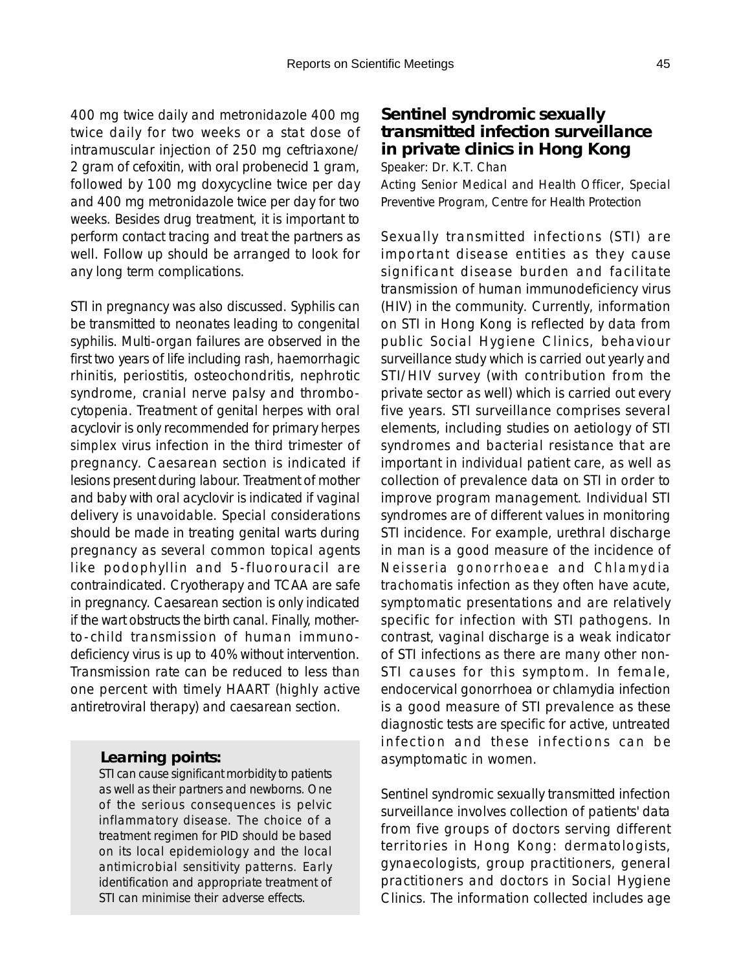400 mg twice daily and metronidazole 400 mg twice daily for two weeks or a stat dose of intramuscular injection of 250 mg ceftriaxone/ 2 gram of cefoxitin, with oral probenecid 1 gram, followed by 100 mg doxycycline twice per day and 400 mg metronidazole twice per day for two weeks. Besides drug treatment, it is important to perform contact tracing and treat the partners as

well. Follow up should be arranged to look for

any long term complications.

STI in pregnancy was also discussed. Syphilis can be transmitted to neonates leading to congenital syphilis. Multi-organ failures are observed in the first two years of life including rash, haemorrhagic rhinitis, periostitis, osteochondritis, nephrotic syndrome, cranial nerve palsy and thrombocytopenia. Treatment of genital herpes with oral acyclovir is only recommended for primary *herpes simplex* virus infection in the third trimester of pregnancy. Caesarean section is indicated if lesions present during labour. Treatment of mother and baby with oral acyclovir is indicated if vaginal delivery is unavoidable. Special considerations should be made in treating genital warts during pregnancy as several common topical agents like podophyllin and 5-fluorouracil are contraindicated. Cryotherapy and TCAA are safe in pregnancy. Caesarean section is only indicated if the wart obstructs the birth canal. Finally, motherto-child transmission of human immunodeficiency virus is up to 40% without intervention. Transmission rate can be reduced to less than one percent with timely HAART (highly active antiretroviral therapy) and caesarean section.

#### *Learning points:*

STI can cause significant morbidity to patients as well as their partners and newborns. One of the serious consequences is pelvic inflammatory disease. The choice of a treatment regimen for PID should be based on its local epidemiology and the local antimicrobial sensitivity patterns. Early identification and appropriate treatment of STI can minimise their adverse effects.

# **Sentinel syndromic sexually transmitted infection surveillance in private clinics in Hong Kong**

Speaker: Dr. K.T. Chan Acting Senior Medical and Health Officer, Special Preventive Program, Centre for Health Protection

Sexually transmitted infections (STI) are important disease entities as they cause significant disease burden and facilitate transmission of human immunodeficiency virus (HIV) in the community. Currently, information on STI in Hong Kong is reflected by data from public Social Hygiene Clinics, behaviour surveillance study which is carried out yearly and STI/HIV survey (with contribution from the private sector as well) which is carried out every five years. STI surveillance comprises several elements, including studies on aetiology of STI syndromes and bacterial resistance that are important in individual patient care, as well as collection of prevalence data on STI in order to improve program management. Individual STI syndromes are of different values in monitoring STI incidence. For example, urethral discharge in man is a good measure of the incidence of *Neisseria gonorrhoeae* and *Chlamydia trachomatis* infection as they often have acute, symptomatic presentations and are relatively specific for infection with STI pathogens. In contrast, vaginal discharge is a weak indicator of STI infections as there are many other non-STI causes for this symptom. In female, endocervical gonorrhoea or chlamydia infection is a good measure of STI prevalence as these diagnostic tests are specific for active, untreated infection and these infections can be asymptomatic in women.

Sentinel syndromic sexually transmitted infection surveillance involves collection of patients' data from five groups of doctors serving different territories in Hong Kong: dermatologists, gynaecologists, group practitioners, general practitioners and doctors in Social Hygiene Clinics. The information collected includes age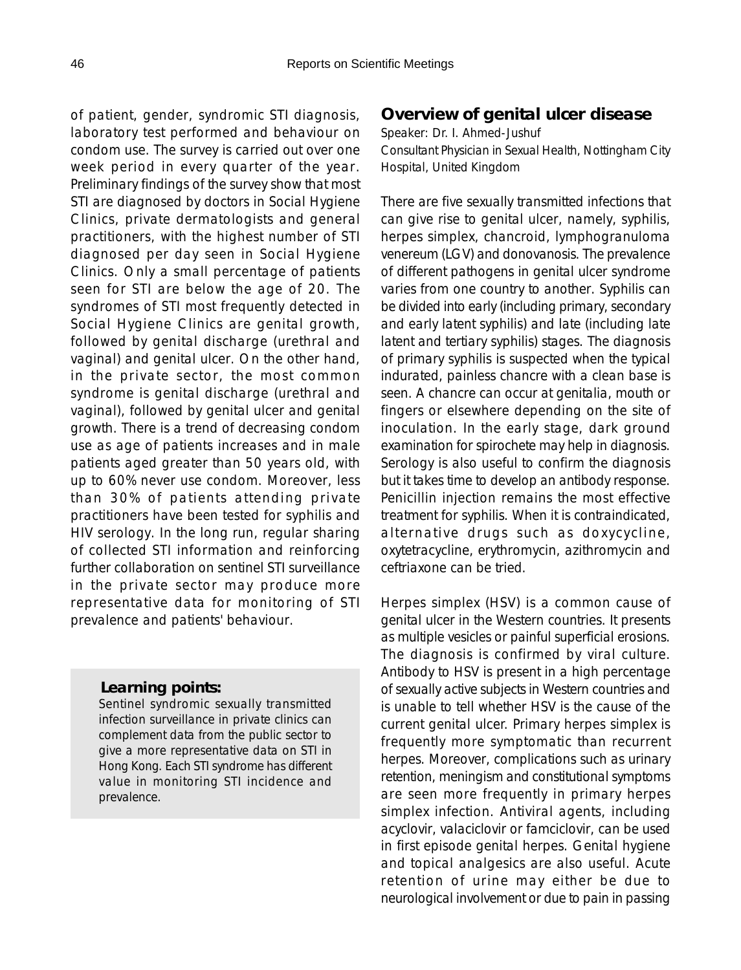of patient, gender, syndromic STI diagnosis, laboratory test performed and behaviour on condom use. The survey is carried out over one week period in every quarter of the year. Preliminary findings of the survey show that most STI are diagnosed by doctors in Social Hygiene Clinics, private dermatologists and general practitioners, with the highest number of STI diagnosed per day seen in Social Hygiene Clinics. Only a small percentage of patients seen for STI are below the age of 20. The syndromes of STI most frequently detected in Social Hygiene Clinics are genital growth, followed by genital discharge (urethral and vaginal) and genital ulcer. On the other hand, in the private sector, the most common syndrome is genital discharge (urethral and vaginal), followed by genital ulcer and genital growth. There is a trend of decreasing condom use as age of patients increases and in male patients aged greater than 50 years old, with up to 60% never use condom. Moreover, less than 30% of patients attending private practitioners have been tested for syphilis and HIV serology. In the long run, regular sharing of collected STI information and reinforcing further collaboration on sentinel STI surveillance in the private sector may produce more representative data for monitoring of STI prevalence and patients' behaviour.

#### *Learning points:*

Sentinel syndromic sexually transmitted infection surveillance in private clinics can complement data from the public sector to give a more representative data on STI in Hong Kong. Each STI syndrome has different value in monitoring STI incidence and prevalence.

### **Overview of genital ulcer disease**

Speaker: Dr. I. Ahmed-Jushuf Consultant Physician in Sexual Health, Nottingham City Hospital, United Kingdom

There are five sexually transmitted infections that can give rise to genital ulcer, namely, syphilis, herpes simplex, chancroid, lymphogranuloma venereum (LGV) and donovanosis. The prevalence of different pathogens in genital ulcer syndrome varies from one country to another. Syphilis can be divided into early (including primary, secondary and early latent syphilis) and late (including late latent and tertiary syphilis) stages. The diagnosis of primary syphilis is suspected when the typical indurated, painless chancre with a clean base is seen. A chancre can occur at genitalia, mouth or fingers or elsewhere depending on the site of inoculation. In the early stage, dark ground examination for spirochete may help in diagnosis. Serology is also useful to confirm the diagnosis but it takes time to develop an antibody response. Penicillin injection remains the most effective treatment for syphilis. When it is contraindicated, alternative drugs such as doxycycline, oxytetracycline, erythromycin, azithromycin and ceftriaxone can be tried.

Herpes simplex (HSV) is a common cause of genital ulcer in the Western countries. It presents as multiple vesicles or painful superficial erosions. The diagnosis is confirmed by viral culture. Antibody to HSV is present in a high percentage of sexually active subjects in Western countries and is unable to tell whether HSV is the cause of the current genital ulcer. Primary herpes simplex is frequently more symptomatic than recurrent herpes. Moreover, complications such as urinary retention, meningism and constitutional symptoms are seen more frequently in primary herpes simplex infection. Antiviral agents, including acyclovir, valaciclovir or famciclovir, can be used in first episode genital herpes. Genital hygiene and topical analgesics are also useful. Acute retention of urine may either be due to neurological involvement or due to pain in passing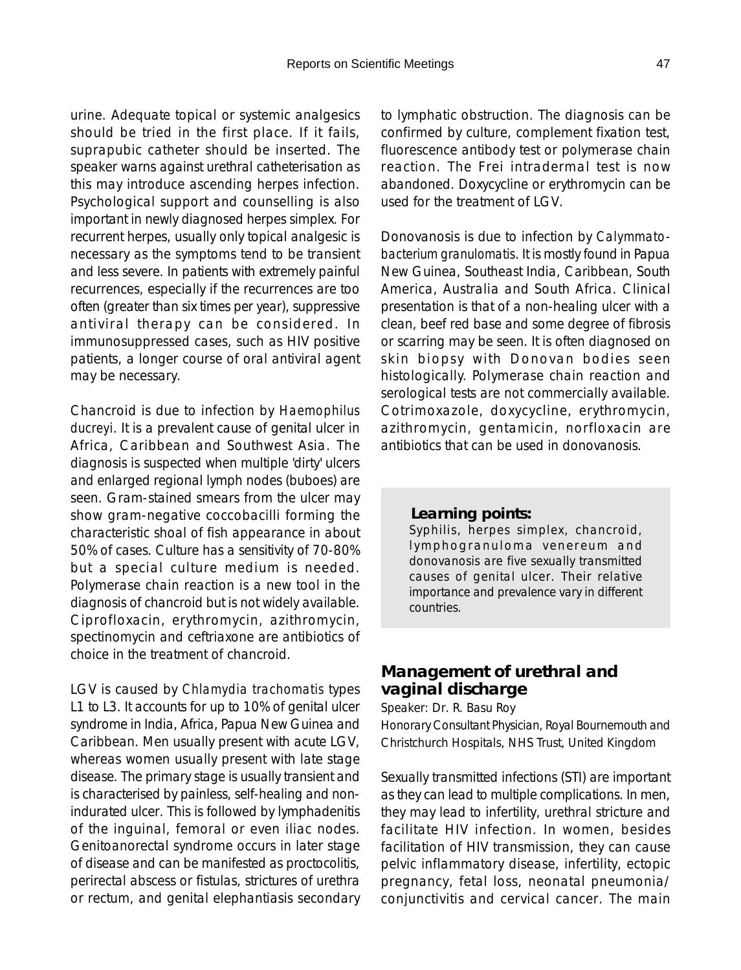urine. Adequate topical or systemic analgesics should be tried in the first place. If it fails, suprapubic catheter should be inserted. The speaker warns against urethral catheterisation as this may introduce ascending herpes infection. Psychological support and counselling is also important in newly diagnosed herpes simplex. For recurrent herpes, usually only topical analgesic is necessary as the symptoms tend to be transient and less severe. In patients with extremely painful recurrences, especially if the recurrences are too often (greater than six times per year), suppressive antiviral therapy can be considered. In immunosuppressed cases, such as HIV positive patients, a longer course of oral antiviral agent may be necessary.

Chancroid is due to infection by *Haemophilus ducreyi*. It is a prevalent cause of genital ulcer in Africa, Caribbean and Southwest Asia. The diagnosis is suspected when multiple 'dirty' ulcers and enlarged regional lymph nodes (buboes) are seen. Gram-stained smears from the ulcer may show gram-negative coccobacilli forming the characteristic shoal of fish appearance in about 50% of cases. Culture has a sensitivity of 70-80% but a special culture medium is needed. Polymerase chain reaction is a new tool in the diagnosis of chancroid but is not widely available. Ciprofloxacin, erythromycin, azithromycin, spectinomycin and ceftriaxone are antibiotics of choice in the treatment of chancroid.

LGV is caused by *Chlamydia trachomatis* types L1 to L3. It accounts for up to 10% of genital ulcer syndrome in India, Africa, Papua New Guinea and Caribbean. Men usually present with acute LGV, whereas women usually present with late stage disease. The primary stage is usually transient and is characterised by painless, self-healing and nonindurated ulcer. This is followed by lymphadenitis of the inguinal, femoral or even iliac nodes. Genitoanorectal syndrome occurs in later stage of disease and can be manifested as proctocolitis, perirectal abscess or fistulas, strictures of urethra or rectum, and genital elephantiasis secondary to lymphatic obstruction. The diagnosis can be confirmed by culture, complement fixation test, fluorescence antibody test or polymerase chain reaction. The Frei intradermal test is now abandoned. Doxycycline or erythromycin can be used for the treatment of LGV.

Donovanosis is due to infection by *Calymmatobacterium granulomatis*. It is mostly found in Papua New Guinea, Southeast India, Caribbean, South America, Australia and South Africa. Clinical presentation is that of a non-healing ulcer with a clean, beef red base and some degree of fibrosis or scarring may be seen. It is often diagnosed on skin biopsy with Donovan bodies seen histologically. Polymerase chain reaction and serological tests are not commercially available. Cotrimoxazole, doxycycline, erythromycin, azithromycin, gentamicin, norfloxacin are antibiotics that can be used in donovanosis.

#### *Learning points:*

Syphilis, herpes simplex, chancroid, lymphogranuloma venereum and donovanosis are five sexually transmitted causes of genital ulcer. Their relative importance and prevalence vary in different countries.

# **Management of urethral and vaginal discharge**

Speaker: Dr. R. Basu Roy

Honorary Consultant Physician, Royal Bournemouth and Christchurch Hospitals, NHS Trust, United Kingdom

Sexually transmitted infections (STI) are important as they can lead to multiple complications. In men, they may lead to infertility, urethral stricture and facilitate HIV infection. In women, besides facilitation of HIV transmission, they can cause pelvic inflammatory disease, infertility, ectopic pregnancy, fetal loss, neonatal pneumonia/ conjunctivitis and cervical cancer. The main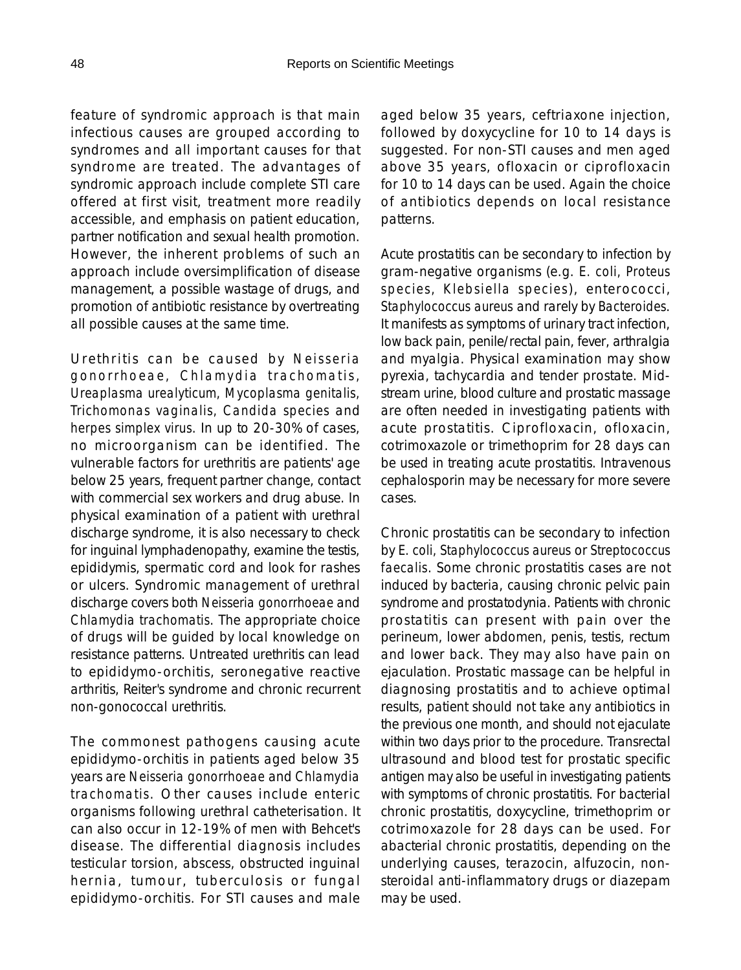feature of syndromic approach is that main infectious causes are grouped according to syndromes and all important causes for that syndrome are treated. The advantages of syndromic approach include complete STI care offered at first visit, treatment more readily accessible, and emphasis on patient education, partner notification and sexual health promotion. However, the inherent problems of such an approach include oversimplification of disease management, a possible wastage of drugs, and promotion of antibiotic resistance by overtreating all possible causes at the same time.

Urethritis can be caused by *Neisseria gonorrhoeae, Chlamydia trachomatis, Ureaplasma urealyticum, Mycoplasma genitalis, Trichomonas vaginalis, Candida species* and *herpes simplex virus*. In up to 20-30% of cases, no microorganism can be identified. The vulnerable factors for urethritis are patients' age below 25 years, frequent partner change, contact with commercial sex workers and drug abuse. In physical examination of a patient with urethral discharge syndrome, it is also necessary to check for inguinal lymphadenopathy, examine the testis, epididymis, spermatic cord and look for rashes or ulcers. Syndromic management of urethral discharge covers both *Neisseria gonorrhoeae* and *Chlamydia trachomatis*. The appropriate choice of drugs will be guided by local knowledge on resistance patterns. Untreated urethritis can lead to epididymo-orchitis, seronegative reactive arthritis, Reiter's syndrome and chronic recurrent non-gonococcal urethritis.

The commonest pathogens causing acute epididymo-orchitis in patients aged below 35 years are *Neisseria gonorrhoeae* and *Chlamydia trachomatis*. Other causes include enteric organisms following urethral catheterisation. It can also occur in 12-19% of men with Behcet's disease. The differential diagnosis includes testicular torsion, abscess, obstructed inguinal hernia, tumour, tuberculosis or fungal epididymo-orchitis. For STI causes and male

aged below 35 years, ceftriaxone injection, followed by doxycycline for 10 to 14 days is suggested. For non-STI causes and men aged above 35 years, ofloxacin or ciprofloxacin for 10 to 14 days can be used. Again the choice of antibiotics depends on local resistance patterns.

Acute prostatitis can be secondary to infection by gram-negative organisms (e.g. *E. coli, Proteus species, Klebsiella species*), enterococci, *Staphylococcus aureus* and rarely by *Bacteroides*. It manifests as symptoms of urinary tract infection, low back pain, penile/rectal pain, fever, arthralgia and myalgia. Physical examination may show pyrexia, tachycardia and tender prostate. Midstream urine, blood culture and prostatic massage are often needed in investigating patients with acute prostatitis. Ciprofloxacin, ofloxacin, cotrimoxazole or trimethoprim for 28 days can be used in treating acute prostatitis. Intravenous cephalosporin may be necessary for more severe cases.

Chronic prostatitis can be secondary to infection by *E. coli, Staphylococcus aureus* or *Streptococcus faecalis*. Some chronic prostatitis cases are not induced by bacteria, causing chronic pelvic pain syndrome and prostatodynia. Patients with chronic prostatitis can present with pain over the perineum, lower abdomen, penis, testis, rectum and lower back. They may also have pain on ejaculation. Prostatic massage can be helpful in diagnosing prostatitis and to achieve optimal results, patient should not take any antibiotics in the previous one month, and should not ejaculate within two days prior to the procedure. Transrectal ultrasound and blood test for prostatic specific antigen may also be useful in investigating patients with symptoms of chronic prostatitis. For bacterial chronic prostatitis, doxycycline, trimethoprim or cotrimoxazole for 28 days can be used. For abacterial chronic prostatitis, depending on the underlying causes, terazocin, alfuzocin, nonsteroidal anti-inflammatory drugs or diazepam may be used.